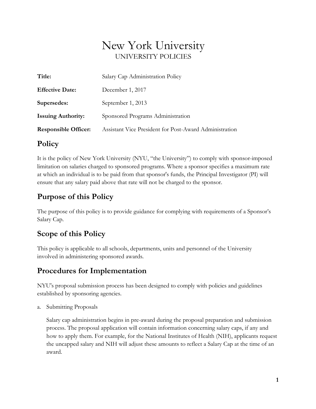# New York University UNIVERSITY POLICIES

| Title:                      | Salary Cap Administration Policy                       |
|-----------------------------|--------------------------------------------------------|
| <b>Effective Date:</b>      | December 1, 2017                                       |
| Supersedes:                 | September 1, 2013                                      |
| <b>Issuing Authority:</b>   | Sponsored Programs Administration                      |
| <b>Responsible Officer:</b> | Assistant Vice President for Post-Award Administration |

### **Policy**

It is the policy of New York University (NYU, "the University") to comply with sponsor-imposed limitation on salaries charged to sponsored programs. Where a sponsor specifies a maximum rate at which an individual is to be paid from that sponsor's funds, the Principal Investigator (PI) will ensure that any salary paid above that rate will not be charged to the sponsor.

# **Purpose of this Policy**

The purpose of this policy is to provide guidance for complying with requirements of a Sponsor's Salary Cap.

# **Scope of this Policy**

This policy is applicable to all schools, departments, units and personnel of the University involved in administering sponsored awards.

# **Procedures for Implementation**

NYU's proposal submission process has been designed to comply with policies and guidelines established by sponsoring agencies.

a. Submitting Proposals

Salary cap administration begins in pre-award during the proposal preparation and submission process. The proposal application will contain information concerning salary caps, if any and how to apply them. For example, for the National Institutes of Health (NIH), applicants request the uncapped salary and NIH will adjust these amounts to reflect a Salary Cap at the time of an award.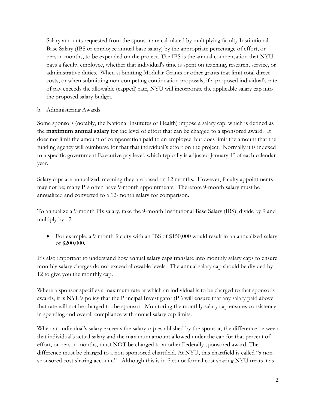Salary amounts requested from the sponsor are calculated by multiplying faculty Institutional Base Salary (IBS or employee annual base salary) by the appropriate percentage of effort, or person months, to be expended on the project. The IBS is the annual compensation that NYU pays a faculty employee, whether that individual's time is spent on teaching, research, service, or administrative duties. When submitting Modular Grants or other grants that limit total direct costs, or when submitting non-competing continuation proposals, if a proposed individual's rate of pay exceeds the allowable (capped) rate, NYU will incorporate the applicable salary cap into the proposed salary budget.

#### b. Administering Awards

Some sponsors (notably, the National Institutes of Health) impose a salary cap, which is defined as the **maximum annual salary** for the level of effort that can be charged to a sponsored award. It does not limit the amount of compensation paid to an employee, but does limit the amount that the funding agency will reimburse for that that individual's effort on the project. Normally it is indexed to a specific government Executive pay level, which typically is adjusted January 1st of each calendar year.

Salary caps are annualized, meaning they are based on 12 months. However, faculty appointments may not be; many PIs often have 9-month appointments. Therefore 9-month salary must be annualized and converted to a 12-month salary for comparison.

To annualize a 9-month PIs salary, take the 9-month Institutional Base Salary (IBS), divide by 9 and multiply by 12.

• For example, a 9-month faculty with an IBS of \$150,000 would result in an annualized salary of \$200,000.

It's also important to understand how annual salary caps translate into monthly salary caps to ensure monthly salary charges do not exceed allowable levels. The annual salary cap should be divided by 12 to give you the monthly cap.

Where a sponsor specifies a maximum rate at which an individual is to be charged to that sponsor's awards, it is NYU's policy that the Principal Investigator (PI) will ensure that any salary paid above that rate will not be charged to the sponsor. Monitoring the monthly salary cap ensures consistency in spending and overall compliance with annual salary cap limits.

When an individual's salary exceeds the salary cap established by the sponsor, the difference between that individual's actual salary and the maximum amount allowed under the cap for that percent of effort, or person months, must NOT be charged to another Federally sponsored award. The difference must be charged to a non-sponsored chartfield. At NYU, this chartfield is called "a nonsponsored cost sharing account." Although this is in fact not formal cost sharing NYU treats it as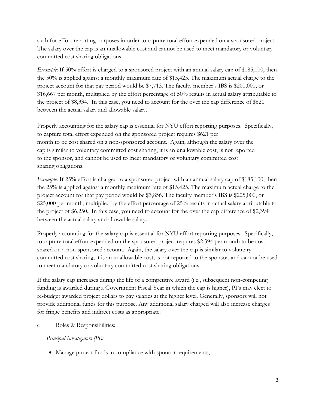such for effort reporting purposes in order to capture total effort expended on a sponsored project. The salary over the cap is an unallowable cost and cannot be used to meet mandatory or voluntary committed cost sharing obligations.

*Example*: If 50% effort is charged to a sponsored project with an annual salary cap of \$185,100, then the 50% is applied against a monthly maximum rate of \$15,425. The maximum actual charge to the project account for that pay period would be \$7,713. The faculty member's IBS is \$200,000, or \$16,667 per month, multiplied by the effort percentage of 50% results in actual salary attributable to the project of \$8,334. In this case, you need to account for the over the cap difference of \$621 between the actual salary and allowable salary.

Properly accounting for the salary cap is essential for NYU effort reporting purposes. Specifically, to capture total effort expended on the sponsored project requires \$621 per month to be cost shared on a non-sponsored account. Again, although the salary over the cap is similar to voluntary committed cost sharing, it is an unallowable cost, is not reported to the sponsor, and cannot be used to meet mandatory or voluntary committed cost sharing obligations.

*Example*: If 25% effort is charged to a sponsored project with an annual salary cap of \$185,100, then the 25% is applied against a monthly maximum rate of \$15,425. The maximum actual charge to the project account for that pay period would be \$3,856. The faculty member's IBS is \$225,000, or \$25,000 per month, multiplied by the effort percentage of 25% results in actual salary attributable to the project of \$6,250. In this case, you need to account for the over the cap difference of \$2,394 between the actual salary and allowable salary.

Properly accounting for the salary cap is essential for NYU effort reporting purposes. Specifically, to capture total effort expended on the sponsored project requires \$2,394 per month to be cost shared on a non-sponsored account. Again, the salary over the cap is similar to voluntary committed cost sharing; it is an unallowable cost, is not reported to the sponsor, and cannot be used to meet mandatory or voluntary committed cost sharing obligations.

If the salary cap increases during the life of a competitive award (i.e., subsequent non-competing funding is awarded during a Government Fiscal Year in which the cap is higher), PI's may elect to re-budget awarded project dollars to pay salaries at the higher level. Generally, sponsors will not provide additional funds for this purpose. Any additional salary charged will also increase charges for fringe benefits and indirect costs as appropriate.

c. Roles & Responsibilities:

*Principal Investigators (PI):* 

• Manage project funds in compliance with sponsor requirements;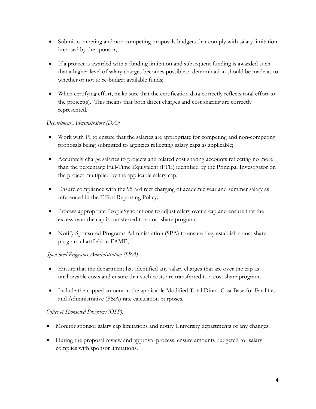- Submit competing and non-competing proposals budgets that comply with salary limitation imposed by the sponsor;
- If a project is awarded with a funding limitation and subsequent funding is awarded such that a higher level of salary charges becomes possible, a determination should be made as to whether or not to re-budget available funds;
- When certifying effort, make sure that the certification data correctly reflects total effort to the project(s). This means that both direct charges and cost sharing are correctly represented.

#### *Department Administrators (DA):*

- Work with PI to ensure that the salaries are appropriate for competing and non-competing proposals being submitted to agencies reflecting salary caps as applicable;
- Accurately charge salaries to projects and related cost sharing accounts reflecting no more than the percentage Full-Time Equivalent (FTE) identified by the Principal Investigator on the project multiplied by the applicable salary cap;
- Ensure compliance with the 95% direct charging of academic year and summer salary as referenced in the Effort Reporting Policy;
- Process appropriate PeopleSync actions to adjust salary over a cap and ensure that the excess over the cap is transferred to a cost share program;
- Notify Sponsored Programs Administration (SPA) to ensure they establish a cost share program chartfield in FAME;

#### *Sponsored Programs Administration (SPA):*

- Ensure that the department has identified any salary charges that are over the cap as unallowable costs and ensure that such costs are transferred to a cost share program;
- Include the capped amount in the applicable Modified Total Direct Cost Base for Facilities and Administrative (F&A) rate calculation purposes.

#### *Office of Sponsored Programs (OSP):*

- Monitor sponsor salary cap limitations and notify University departments of any changes;
- During the proposal review and approval process, ensure amounts budgeted for salary complies with sponsor limitations.